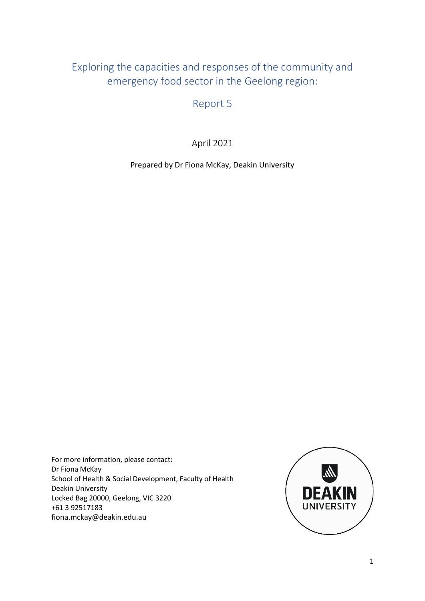# Exploring the capacities and responses of the community and emergency food sector in the Geelong region:

Report 5

April 2021

Prepared by Dr Fiona McKay, Deakin University

For more information, please contact: Dr Fiona McKay School of Health & Social Development, Faculty of Health Deakin University Locked Bag 20000, Geelong, VIC 3220 +61 3 92517183 fiona.mckay@deakin.edu.au

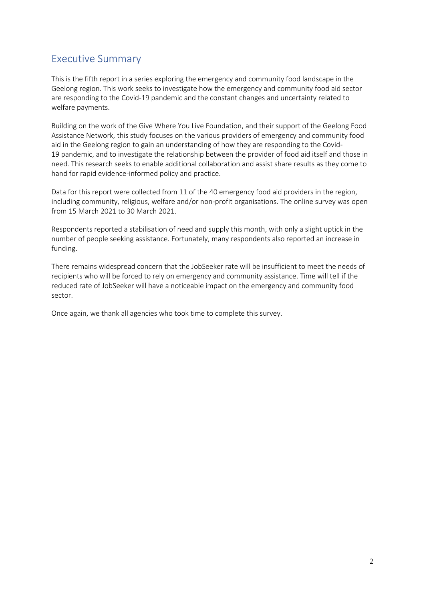# Executive Summary

This is the fifth report in a series exploring the emergency and community food landscape in the Geelong region. This work seeks to investigate how the emergency and community food aid sector are responding to the Covid-19 pandemic and the constant changes and uncertainty related to welfare payments.

Building on the work of the Give Where You Live Foundation, and their support of the Geelong Food Assistance Network, this study focuses on the various providers of emergency and community food aid in the Geelong region to gain an understanding of how they are responding to the Covid-19 pandemic, and to investigate the relationship between the provider of food aid itself and those in need. This research seeks to enable additional collaboration and assist share results as they come to hand for rapid evidence-informed policy and practice.

Data for this report were collected from 11 of the 40 emergency food aid providers in the region, including community, religious, welfare and/or non-profit organisations. The online survey was open from 15 March 2021 to 30 March 2021.

Respondents reported a stabilisation of need and supply this month, with only a slight uptick in the number of people seeking assistance. Fortunately, many respondents also reported an increase in funding.

There remains widespread concern that the JobSeeker rate will be insufficient to meet the needs of recipients who will be forced to rely on emergency and community assistance. Time will tell if the reduced rate of JobSeeker will have a noticeable impact on the emergency and community food sector.

Once again, we thank all agencies who took time to complete this survey.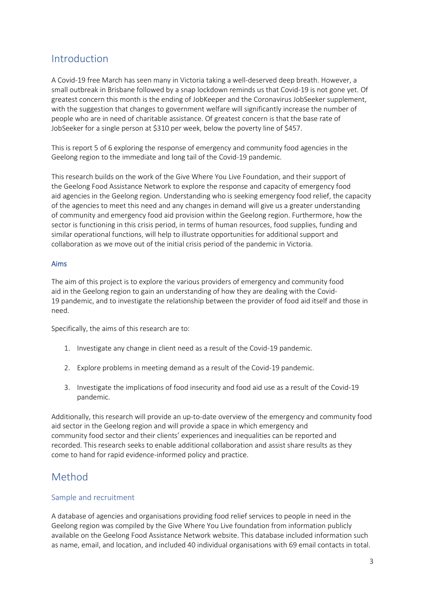# Introduction

A Covid-19 free March has seen many in Victoria taking a well-deserved deep breath. However, a small outbreak in Brisbane followed by a snap lockdown reminds us that Covid-19 is not gone yet. Of greatest concern this month is the ending of JobKeeper and the Coronavirus JobSeeker supplement, with the suggestion that changes to government welfare will significantly increase the number of people who are in need of charitable assistance. Of greatest concern is that the base rate of JobSeeker for a single person at \$310 per week, below the poverty line of \$457.

This is report 5 of 6 exploring the response of emergency and community food agencies in the Geelong region to the immediate and long tail of the Covid-19 pandemic.

This research builds on the work of the Give Where You Live Foundation, and their support of the Geelong Food Assistance Network to explore the response and capacity of emergency food aid agencies in the Geelong region. Understanding who is seeking emergency food relief, the capacity of the agencies to meet this need and any changes in demand will give us a greater understanding of community and emergency food aid provision within the Geelong region. Furthermore, how the sector is functioning in this crisis period, in terms of human resources, food supplies, funding and similar operational functions, will help to illustrate opportunities for additional support and collaboration as we move out of the initial crisis period of the pandemic in Victoria.

#### Aims

The aim of this project is to explore the various providers of emergency and community food aid in the Geelong region to gain an understanding of how they are dealing with the Covid-19 pandemic, and to investigate the relationship between the provider of food aid itself and those in need.

Specifically, the aims of this research are to:

- 1. Investigate any change in client need as a result of the Covid-19 pandemic.
- 2. Explore problems in meeting demand as a result of the Covid-19 pandemic.
- 3. Investigate the implications of food insecurity and food aid use as a result of the Covid-19 pandemic.

Additionally, this research will provide an up-to-date overview of the emergency and community food aid sector in the Geelong region and will provide a space in which emergency and community food sector and their clients' experiences and inequalities can be reported and recorded. This research seeks to enable additional collaboration and assist share results as they come to hand for rapid evidence-informed policy and practice.

## Method

#### Sample and recruitment

A database of agencies and organisations providing food relief services to people in need in the Geelong region was compiled by the Give Where You Live foundation from information publicly available on the Geelong Food Assistance Network website. This database included information such as name, email, and location, and included 40 individual organisations with 69 email contacts in total.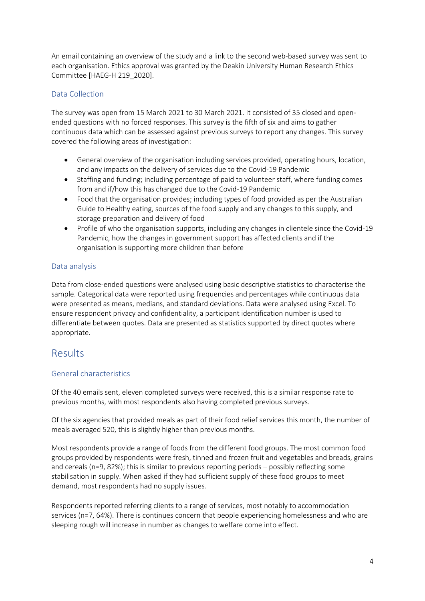An email containing an overview of the study and a link to the second web-based survey was sent to each organisation. Ethics approval was granted by the Deakin University Human Research Ethics Committee [HAEG-H 219\_2020].

### Data Collection

The survey was open from 15 March 2021 to 30 March 2021. It consisted of 35 closed and openended questions with no forced responses. This survey is the fifth of six and aims to gather continuous data which can be assessed against previous surveys to report any changes. This survey covered the following areas of investigation:

- General overview of the organisation including services provided, operating hours, location, and any impacts on the delivery of services due to the Covid-19 Pandemic
- Staffing and funding; including percentage of paid to volunteer staff, where funding comes from and if/how this has changed due to the Covid-19 Pandemic
- Food that the organisation provides; including types of food provided as per the Australian Guide to Healthy eating, sources of the food supply and any changes to this supply, and storage preparation and delivery of food
- Profile of who the organisation supports, including any changes in clientele since the Covid-19 Pandemic, how the changes in government support has affected clients and if the organisation is supporting more children than before

### Data analysis

Data from close-ended questions were analysed using basic descriptive statistics to characterise the sample. Categorical data were reported using frequencies and percentages while continuous data were presented as means, medians, and standard deviations. Data were analysed using Excel. To ensure respondent privacy and confidentiality, a participant identification number is used to differentiate between quotes. Data are presented as statistics supported by direct quotes where appropriate.

### Results

### General characteristics

Of the 40 emails sent, eleven completed surveys were received, this is a similar response rate to previous months, with most respondents also having completed previous surveys.

Of the six agencies that provided meals as part of their food relief services this month, the number of meals averaged 520, this is slightly higher than previous months.

Most respondents provide a range of foods from the different food groups. The most common food groups provided by respondents were fresh, tinned and frozen fruit and vegetables and breads, grains and cereals (n=9, 82%); this is similar to previous reporting periods – possibly reflecting some stabilisation in supply. When asked if they had sufficient supply of these food groups to meet demand, most respondents had no supply issues.

Respondents reported referring clients to a range of services, most notably to accommodation services (n=7, 64%). There is continues concern that people experiencing homelessness and who are sleeping rough will increase in number as changes to welfare come into effect.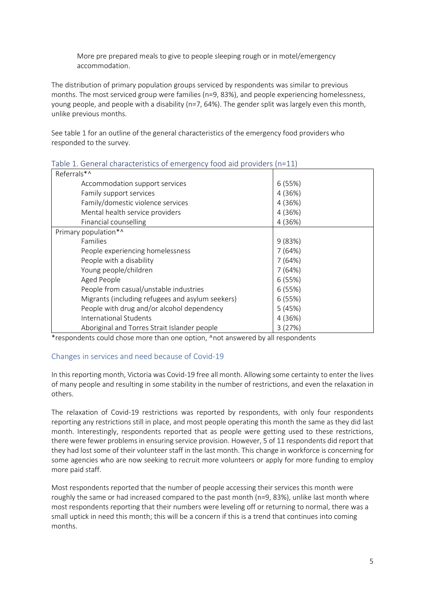More pre prepared meals to give to people sleeping rough or in motel/emergency accommodation.

The distribution of primary population groups serviced by respondents was similar to previous months. The most serviced group were families (n=9, 83%), and people experiencing homelessness, young people, and people with a disability (n=7, 64%). The gender split was largely even this month, unlike previous months.

See table 1 for an outline of the general characteristics of the emergency food providers who responded to the survey.

| Referrals*^                                      |         |
|--------------------------------------------------|---------|
| Accommodation support services                   | 6(55%)  |
| Family support services                          | 4 (36%) |
| Family/domestic violence services                | 4 (36%) |
| Mental health service providers                  | 4 (36%) |
| Financial counselling                            | 4 (36%) |
| Primary population*^                             |         |
| Families                                         | 9(83%)  |
| People experiencing homelessness                 | 7(64%)  |
| People with a disability                         | 7(64%)  |
| Young people/children                            | 7(64%)  |
| Aged People                                      | 6(55%)  |
| People from casual/unstable industries           | 6(55%)  |
| Migrants (including refugees and asylum seekers) | 6(55%)  |
| People with drug and/or alcohol dependency       | 5(45%)  |
| International Students                           | 4 (36%) |
| Aboriginal and Torres Strait Islander people     | 3(27%)  |

Table 1. General characteristics of emergency food aid providers (n=11)

\*respondents could chose more than one option, ^not answered by all respondents

#### Changes in services and need because of Covid-19

In this reporting month, Victoria was Covid-19 free all month. Allowing some certainty to enter the lives of many people and resulting in some stability in the number of restrictions, and even the relaxation in others.

The relaxation of Covid-19 restrictions was reported by respondents, with only four respondents reporting any restrictions still in place, and most people operating this month the same as they did last month. Interestingly, respondents reported that as people were getting used to these restrictions, there were fewer problems in ensuring service provision. However, 5 of 11 respondents did report that they had lost some of their volunteer staff in the last month. This change in workforce is concerning for some agencies who are now seeking to recruit more volunteers or apply for more funding to employ more paid staff.

Most respondents reported that the number of people accessing their services this month were roughly the same or had increased compared to the past month (n=9, 83%), unlike last month where most respondents reporting that their numbers were leveling off or returning to normal, there was a small uptick in need this month; this will be a concern if this is a trend that continues into coming months.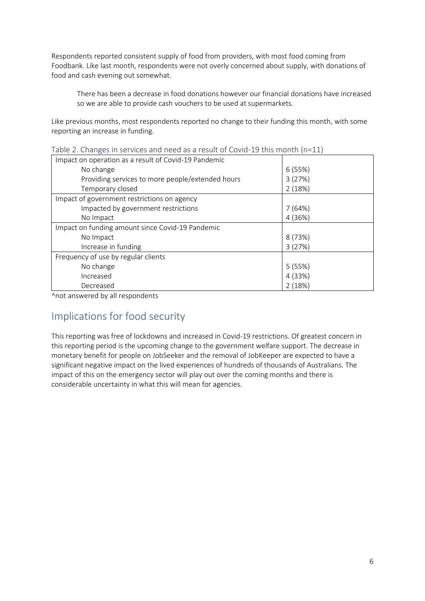Respondents reported consistent supply of food from providers, with most food coming from Foodbank. Like last month, respondents were not overly concerned about supply, with donations of food and cash evening out somewhat.

There has been a decrease in food donations however our financial donations have increased so we are able to provide cash vouchers to be used at supermarkets.

Like previous months, most respondents reported no change to their funding this month, with some reporting an increase in funding.

| Impact on operation as a result of Covid-19 Pandemic |         |
|------------------------------------------------------|---------|
| No change                                            | 6(55%)  |
| Providing services to more people/extended hours     | 3(27%)  |
| Temporary closed                                     | 2(18%)  |
| Impact of government restrictions on agency          |         |
| Impacted by government restrictions                  | 7(64%)  |
| No Impact                                            | 4 (36%) |
| Impact on funding amount since Covid-19 Pandemic     |         |
| No Impact                                            | 8(73%)  |
| Increase in funding                                  | 3(27%)  |
| Frequency of use by regular clients                  |         |
| No change                                            | 5(55%)  |
| Increased                                            | 4 (33%) |
| Decreased                                            | 2(18%)  |

| Table 2. Changes in services and need as a result of Covid-19 this month (n=11) |  |  |  |
|---------------------------------------------------------------------------------|--|--|--|
|---------------------------------------------------------------------------------|--|--|--|

^not answered by all respondents

# Implications for food security

This reporting was free of lockdowns and increased in Covid-19 restrictions. Of greatest concern in this reporting period is the upcoming change to the government welfare support. The decrease in monetary benefit for people on JobSeeker and the removal of JobKeeper are expected to have a significant negative impact on the lived experiences of hundreds of thousands of Australians. The impact of this on the emergency sector will play out over the coming months and there is considerable uncertainty in what this will mean for agencies.